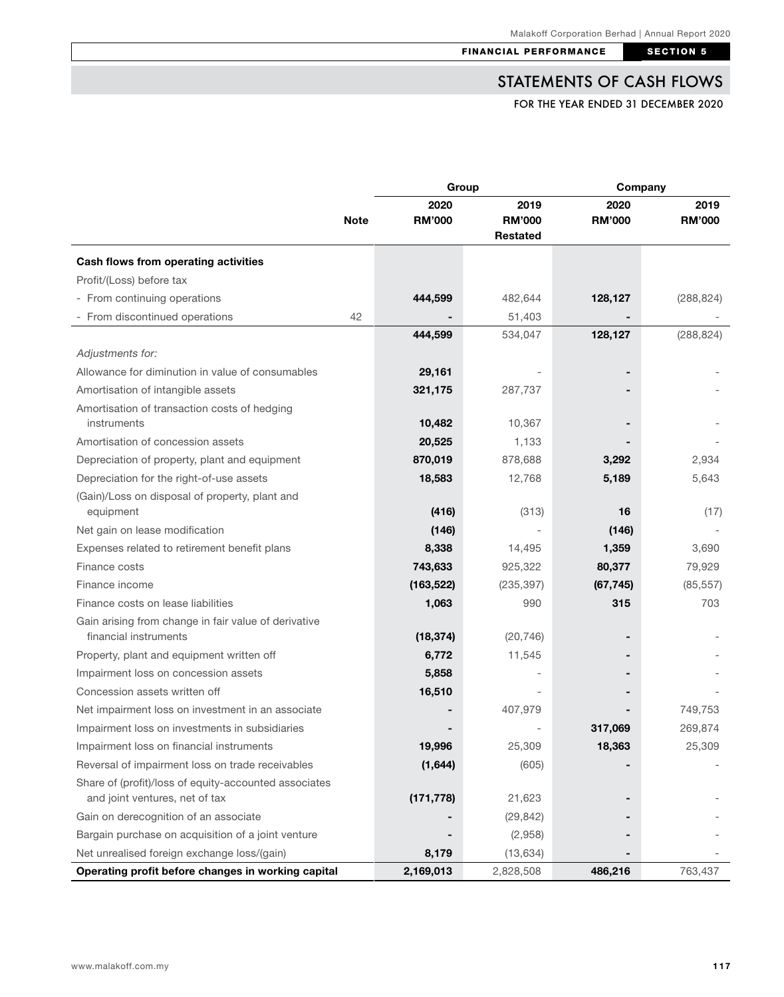# STATEMENTS OF CASH FLOWS

FOR THE YEAR ENDED 31 DECEMBER 2020

|                                                                               |             | Group                 |                                   | Company               |                       |
|-------------------------------------------------------------------------------|-------------|-----------------------|-----------------------------------|-----------------------|-----------------------|
|                                                                               | <b>Note</b> | 2020<br><b>RM'000</b> | 2019<br><b>RM'000</b><br>Restated | 2020<br><b>RM'000</b> | 2019<br><b>RM'000</b> |
| Cash flows from operating activities                                          |             |                       |                                   |                       |                       |
| Profit/(Loss) before tax                                                      |             |                       |                                   |                       |                       |
| - From continuing operations                                                  |             | 444,599               | 482,644                           | 128,127               | (288, 824)            |
| - From discontinued operations                                                | 42          |                       | 51,403                            |                       |                       |
|                                                                               |             | 444,599               | 534,047                           | 128,127               | (288, 824)            |
| Adjustments for:                                                              |             |                       |                                   |                       |                       |
| Allowance for diminution in value of consumables                              |             | 29,161                |                                   |                       |                       |
| Amortisation of intangible assets                                             |             | 321,175               | 287,737                           |                       |                       |
| Amortisation of transaction costs of hedging                                  |             |                       |                                   |                       |                       |
| instruments                                                                   |             | 10,482                | 10,367                            |                       |                       |
| Amortisation of concession assets                                             |             | 20,525                | 1,133                             |                       |                       |
| Depreciation of property, plant and equipment                                 |             | 870,019               | 878,688                           | 3,292                 | 2,934                 |
| Depreciation for the right-of-use assets                                      |             | 18,583                | 12,768                            | 5,189                 | 5,643                 |
| (Gain)/Loss on disposal of property, plant and<br>equipment                   |             | (416)                 | (313)                             | 16                    | (17)                  |
| Net gain on lease modification                                                |             | (146)                 |                                   | (146)                 |                       |
| Expenses related to retirement benefit plans                                  |             | 8,338                 | 14,495                            | 1,359                 | 3,690                 |
| Finance costs                                                                 |             | 743,633               | 925,322                           | 80,377                | 79,929                |
| Finance income                                                                |             | (163, 522)            | (235, 397)                        | (67, 745)             | (85, 557)             |
| Finance costs on lease liabilities                                            |             | 1,063                 | 990                               | 315                   | 703                   |
| Gain arising from change in fair value of derivative<br>financial instruments |             | (18, 374)             | (20, 746)                         |                       |                       |
| Property, plant and equipment written off                                     |             | 6,772                 | 11,545                            |                       |                       |
| Impairment loss on concession assets                                          |             | 5,858                 |                                   |                       |                       |
| Concession assets written off                                                 |             | 16,510                |                                   |                       |                       |
| Net impairment loss on investment in an associate                             |             |                       | 407,979                           |                       | 749,753               |
| Impairment loss on investments in subsidiaries                                |             |                       |                                   | 317,069               | 269,874               |
| Impairment loss on financial instruments                                      |             | 19,996                | 25,309                            | 18,363                | 25,309                |
| Reversal of impairment loss on trade receivables                              |             | (1,644)               | (605)                             |                       |                       |
| Share of (profit)/loss of equity-accounted associates                         |             |                       |                                   |                       |                       |
| and joint ventures, net of tax                                                |             | (171, 778)            | 21,623                            |                       |                       |
| Gain on derecognition of an associate                                         |             |                       | (29, 842)                         |                       |                       |
| Bargain purchase on acquisition of a joint venture                            |             |                       | (2,958)                           |                       |                       |
| Net unrealised foreign exchange loss/(gain)                                   |             | 8,179                 | (13, 634)                         |                       |                       |
| Operating profit before changes in working capital                            |             | 2,169,013             | 2,828,508                         | 486,216               | 763,437               |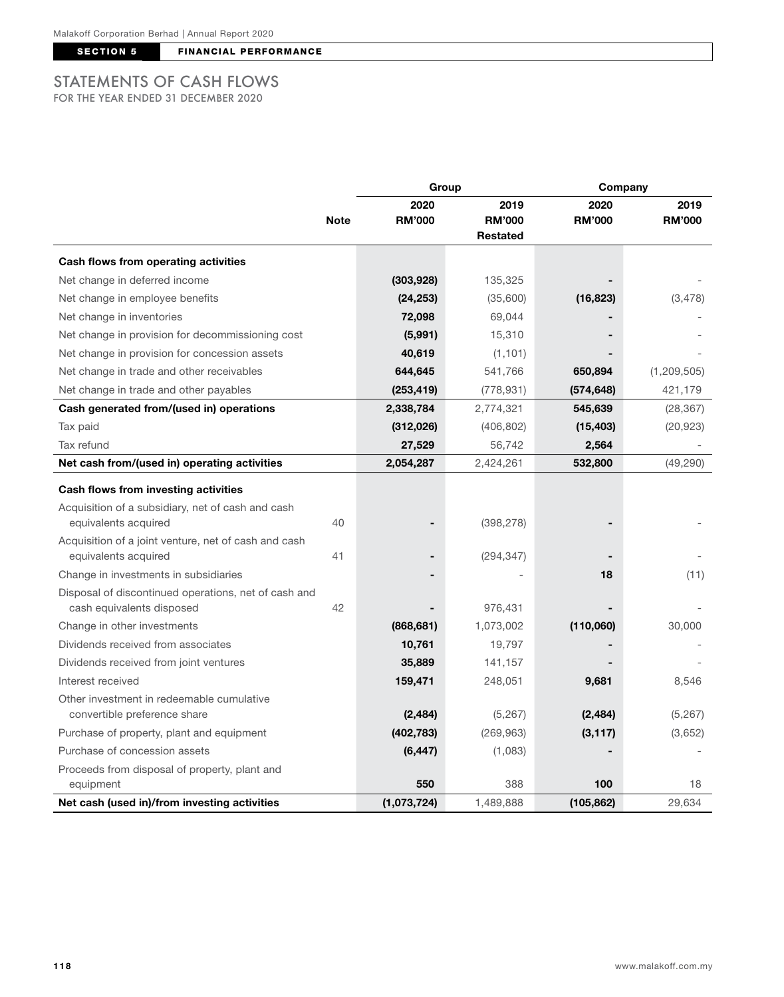SECTION 5 FINANCIAL PERFORMANCE

### STATEMENTS OF CASH FLOWS FOR THE YEAR ENDED 31 DECEMBER 2020

|                                                      | <b>Note</b> | Group         |                 | Company       |               |
|------------------------------------------------------|-------------|---------------|-----------------|---------------|---------------|
|                                                      |             | 2020          | 2019            | 2020          | 2019          |
|                                                      |             | <b>RM'000</b> | <b>RM'000</b>   | <b>RM'000</b> | <b>RM'000</b> |
|                                                      |             |               | <b>Restated</b> |               |               |
| Cash flows from operating activities                 |             |               |                 |               |               |
| Net change in deferred income                        |             | (303, 928)    | 135,325         |               |               |
| Net change in employee benefits                      |             | (24, 253)     | (35,600)        | (16, 823)     | (3, 478)      |
| Net change in inventories                            |             | 72,098        | 69,044          |               |               |
| Net change in provision for decommissioning cost     |             | (5,991)       | 15,310          |               |               |
| Net change in provision for concession assets        |             | 40,619        | (1, 101)        |               |               |
| Net change in trade and other receivables            |             | 644,645       | 541,766         | 650,894       | (1, 209, 505) |
| Net change in trade and other payables               |             | (253, 419)    | (778, 931)      | (574, 648)    | 421,179       |
| Cash generated from/(used in) operations             |             | 2,338,784     | 2,774,321       | 545,639       | (28, 367)     |
| Tax paid                                             |             | (312,026)     | (406, 802)      | (15, 403)     | (20, 923)     |
| Tax refund                                           |             | 27,529        | 56,742          | 2,564         |               |
| Net cash from/(used in) operating activities         |             | 2,054,287     | 2,424,261       | 532,800       | (49, 290)     |
| Cash flows from investing activities                 |             |               |                 |               |               |
| Acquisition of a subsidiary, net of cash and cash    |             |               |                 |               |               |
| equivalents acquired                                 | 40          |               | (398, 278)      |               |               |
| Acquisition of a joint venture, net of cash and cash |             |               |                 |               |               |
| equivalents acquired                                 | 41          |               | (294, 347)      |               |               |
| Change in investments in subsidiaries                |             |               |                 | 18            | (11)          |
| Disposal of discontinued operations, net of cash and |             |               |                 |               |               |
| cash equivalents disposed                            | 42          |               | 976,431         |               |               |
| Change in other investments                          |             | (868, 681)    | 1,073,002       | (110,060)     | 30,000        |
| Dividends received from associates                   |             | 10,761        | 19,797          |               |               |
| Dividends received from joint ventures               |             | 35,889        | 141,157         |               |               |
| Interest received                                    |             | 159,471       | 248,051         | 9,681         | 8,546         |
| Other investment in redeemable cumulative            |             |               |                 |               |               |
| convertible preference share                         |             | (2, 484)      | (5, 267)        | (2, 484)      | (5, 267)      |
| Purchase of property, plant and equipment            |             | (402, 783)    | (269, 963)      | (3, 117)      | (3,652)       |
| Purchase of concession assets                        |             | (6, 447)      | (1,083)         |               |               |
| Proceeds from disposal of property, plant and        |             |               |                 |               |               |
| equipment                                            |             | 550           | 388             | 100           | 18            |
| Net cash (used in)/from investing activities         |             | (1,073,724)   | 1,489,888       | (105, 862)    | 29,634        |